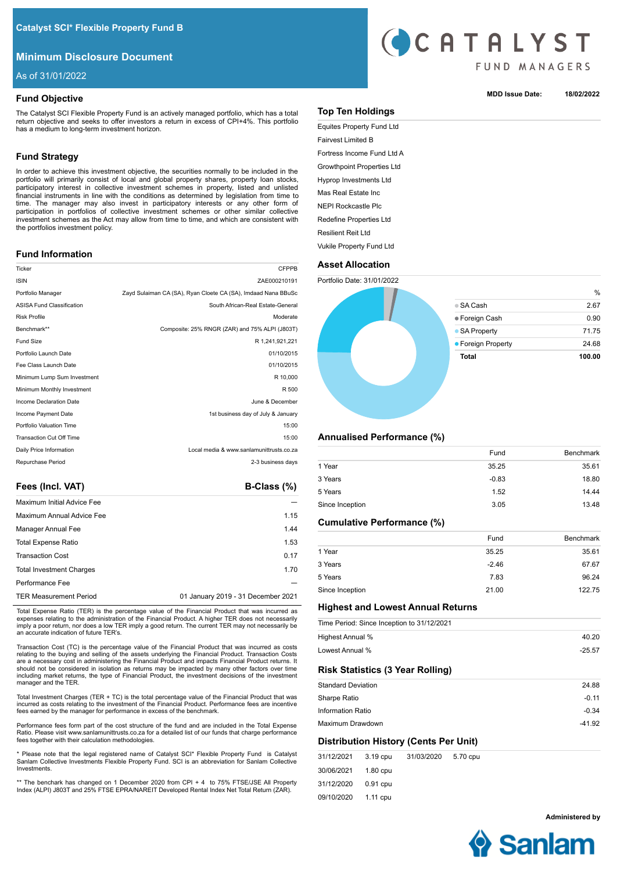# **Minimum Disclosure Document**

As of 31/01/2022

## **Fund Objective**

The Catalyst SCI Flexible Property Fund is an actively managed portfolio, which has a total return objective and seeks to offer investors a return in excess of CPI+4%. This portfolio has a medium to long-term investment horizon.

# **Fund Strategy**

In order to achieve this investment objective, the securities normally to be included in the portfolio will primarily consist of local and global property shares, property loan stocks, participatory interest in collective investment schemes in property, listed and unlisted financial instruments in line with the conditions as determined by legislation from time to time. The manager may also invest in participatory interests or any other form of participation in portfolios of collective investment schemes or other similar collective investment schemes as the Act may allow from time to time, and which are consistent with the portfolios investment policy.

## **Fund Information**

| Ticker                           | <b>CFPPB</b>                                                  |
|----------------------------------|---------------------------------------------------------------|
| <b>ISIN</b>                      | ZAE000210191                                                  |
| Portfolio Manager                | Zayd Sulaiman CA (SA), Ryan Cloete CA (SA), Imdaad Nana BBuSc |
| <b>ASISA Fund Classification</b> | South African-Real Estate-General                             |
| <b>Risk Profile</b>              | Moderate                                                      |
| Benchmark**                      | Composite: 25% RNGR (ZAR) and 75% ALPI (J803T)                |
| <b>Fund Size</b>                 | R 1.241.921.221                                               |
| Portfolio Launch Date            | 01/10/2015                                                    |
| Fee Class Launch Date            | 01/10/2015                                                    |
| Minimum Lump Sum Investment      | R 10,000                                                      |
| Minimum Monthly Investment       | R 500                                                         |
| Income Declaration Date          | June & December                                               |
| Income Payment Date              | 1st business day of July & January                            |
| Portfolio Valuation Time         | 15:00                                                         |
| <b>Transaction Cut Off Time</b>  | 15:00                                                         |
| Daily Price Information          | Local media & www.sanlamunittrusts.co.za                      |
| Repurchase Period                | 2-3 business days                                             |
|                                  |                                                               |

Fees (Incl. VAT) **B-Class (%)** 

| <b>Maximum Initial Advice Fee</b> |                                    |
|-----------------------------------|------------------------------------|
| Maximum Annual Advice Fee         | 1.15                               |
| Manager Annual Fee                | 1.44                               |
| <b>Total Expense Ratio</b>        | 1.53                               |
| <b>Transaction Cost</b>           | 0.17                               |
| <b>Total Investment Charges</b>   | 1.70                               |
| Performance Fee                   |                                    |
| <b>TER Measurement Period</b>     | 01 January 2019 - 31 December 2021 |

Total Expense Ratio (TER) is the percentage value of the Financial Product that was incurred as expenses relating to the administration of the Financial Product. A higher TER does not necessarily imply a poor return, nor does a low TER imply a good return. The current TER may not necessarily be an accurate indication of future TER's.

Transaction Cost (TC) is the percentage value of the Financial Product that was incurred as costs relating to the buying and selling of the assets underlying the Financial Product. Transaction Costs are a necessary cost in administering the Financial Product and impacts Financial Product returns. It should not be considered in isolation as returns may be impacted by many other factors over time including market returns, the type of Financial Product, the investment decisions of the investment manager and the TER.

Total Investment Charges (TER + TC) is the total percentage value of the Financial Product that was incurred as costs relating to the investment of the Financial Product. Performance fees are incentive fees earned by the manager for performance in excess of the benchmark.

Performance fees form part of the cost structure of the fund and are included in the Total Expense Ratio. Please visit www.sanlamunittrusts.co.za for a detailed list of our funds that charge performance fees together with their calculation methodologies.

\* Please note that the legal registered name of Catalyst SCI\* Flexible Property Fund is Catalyst Sanlam Collective Investments Flexible Property Fund. SCI is an abbreviation for Sanlam Collective Investments.

\*\* The benchark has changed on 1 December 2020 from CPI + 4 to 75% FTSE/JSE All Property Index (ALPI) J803T and 25% FTSE EPRA/NAREIT Developed Rental Index Net Total Return (ZAR).



## **MDD Issue Date: 18/02/2022**

## **Top Ten Holdings**

Equites Property Fund Ltd Fairvest Limited B Fortress Income Fund Ltd A Growthpoint Properties Ltd Hyprop Investments Ltd Mas Real Estate Inc NEPI Rockcastle Plc Redefine Properties Ltd Resilient Reit Ltd Vukile Property Fund Ltd

# **Asset Allocation**

Portfolio Date: 31/01/2022



## **Annualised Performance (%)**

|                 | Fund    | <b>Benchmark</b> |
|-----------------|---------|------------------|
| 1 Year          | 35.25   | 35.61            |
| 3 Years         | $-0.83$ | 18.80            |
| 5 Years         | 1.52    | 14.44            |
| Since Inception | 3.05    | 13.48            |
|                 |         |                  |

## **Cumulative Performance (%)**

|                 | Fund    | <b>Benchmark</b> |
|-----------------|---------|------------------|
| 1 Year          | 35.25   | 35.61            |
| 3 Years         | $-2.46$ | 67.67            |
| 5 Years         | 7.83    | 96.24            |
| Since Inception | 21.00   | 122.75           |

## **Highest and Lowest Annual Returns**

|                           |          | Time Period: Since Inception to 31/12/2021 |          |          |
|---------------------------|----------|--------------------------------------------|----------|----------|
| Highest Annual %          |          |                                            |          | 40.20    |
| Lowest Annual %           |          |                                            |          | $-25.57$ |
|                           |          | <b>Risk Statistics (3 Year Rolling)</b>    |          |          |
| <b>Standard Deviation</b> |          |                                            |          | 24.88    |
| Sharpe Ratio              |          |                                            |          | $-0.11$  |
| Information Ratio         |          |                                            |          | $-0.34$  |
| Maximum Drawdown          |          |                                            |          | $-41.92$ |
|                           |          | Distribution History (Cents Per Unit)      |          |          |
| 31/12/2021                | 3.19 cpu | 31/03/2020                                 | 5.70 cpu |          |

| 31/12/2021 3.19 cpu |          | 31/03/2020 | 5.70 cpเ |
|---------------------|----------|------------|----------|
| 30/06/2021 1.80 cpu |          |            |          |
| 31/12/2020          | 0.91 cpu |            |          |
| 09/10/2020 1.11 cpu |          |            |          |

**Administered by**